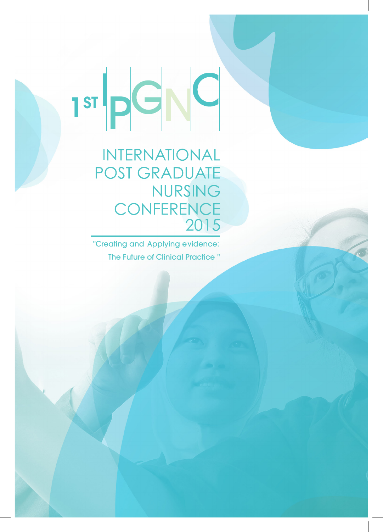1st pd NC

**INTERNATIONAL POST GRADUATE NURSING CONFERENCE** 2015

"Creating and Applying evidence: The Future of Clinical Practice "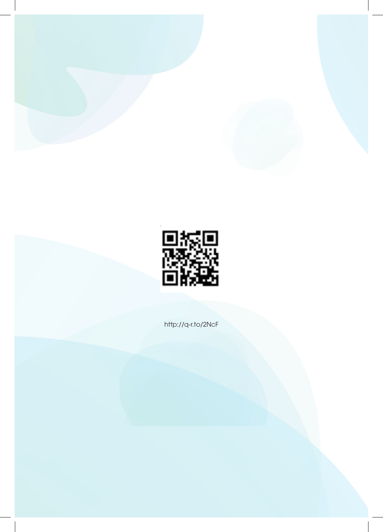



http://q-r.to/2NcF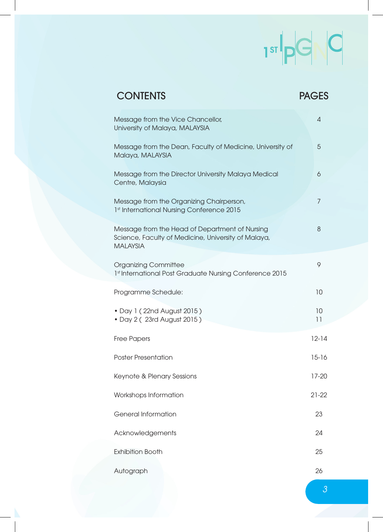# $\begin{array}{c|c|c|c} \multicolumn{3}{c|}{\textbf{1}} & \multicolumn{3}{c|}{\textbf{1}} & \multicolumn{3}{c|}{\textbf{1}} & \multicolumn{3}{c|}{\textbf{1}} & \multicolumn{3}{c|}{\textbf{1}} & \multicolumn{3}{c|}{\textbf{1}} & \multicolumn{3}{c|}{\textbf{1}} & \multicolumn{3}{c|}{\textbf{1}} & \multicolumn{3}{c|}{\textbf{1}} & \multicolumn{3}{c|}{\textbf{1}} & \multicolumn{3}{c|}{\textbf{1}} & \multicolumn{3}{c|}{\textbf{1}} & \multic$

| <b>CONTENTS</b>                                                                                                          | <b>PAGES</b>   |
|--------------------------------------------------------------------------------------------------------------------------|----------------|
| Message from the Vice Chancellor,<br>University of Malaya, MALAYSIA                                                      | 4              |
| Message from the Dean, Faculty of Medicine, University of<br>Malaya, MALAYSIA                                            | 5              |
| Message from the Director University Malaya Medical<br>Centre, Malaysia                                                  | 6              |
| Message from the Organizing Chairperson,<br>1st International Nursing Conference 2015                                    | $\overline{7}$ |
| Message from the Head of Department of Nursing<br>Science, Faculty of Medicine, University of Malaya,<br><b>MALAYSIA</b> | 8              |
| <b>Organizing Committee</b><br>1st International Post Graduate Nursing Conference 2015                                   | 9              |
| Programme Schedule:                                                                                                      | 10             |
| • Day 1 (22nd August 2015)<br>• Day 2 (23rd August 2015)                                                                 | 10<br>11       |
| <b>Free Papers</b>                                                                                                       | $12 - 14$      |
| <b>Poster Presentation</b>                                                                                               | $15 - 16$      |
| Keynote & Plenary Sessions                                                                                               | $17 - 20$      |
| Workshops Information                                                                                                    | 21-22          |
| <b>General Information</b>                                                                                               | 23             |
| Acknowledgements                                                                                                         | 24             |
| <b>Exhibition Booth</b>                                                                                                  | 25             |
| Autograph                                                                                                                | 26             |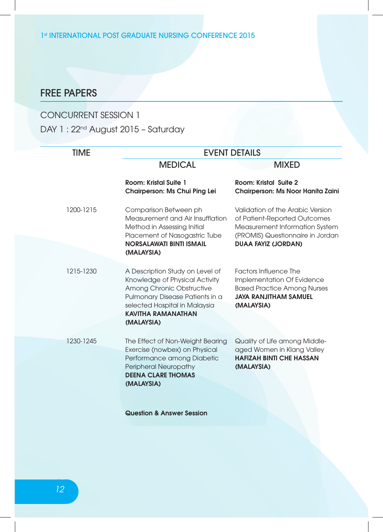1st INTERNATIONAL POST GRADUATE NURSING CONFERENCE 2015

## FREE PAPERS

#### CONCURRENT SESSION 1

DAY 1 : 22<sup>nd</sup> August 2015 - Saturday

| <b>TIME</b> | <b>EVENT DETAILS</b>                                                                                                                                                                            |                                                                                                                                                |
|-------------|-------------------------------------------------------------------------------------------------------------------------------------------------------------------------------------------------|------------------------------------------------------------------------------------------------------------------------------------------------|
|             | <b>MEDICAL</b>                                                                                                                                                                                  | <b>MIXED</b>                                                                                                                                   |
|             | Room: Kristal Suite 1<br>Chairperson: Ms Chui Ping Lei                                                                                                                                          | Room: Kristal Suite 2<br>Chairperson: Ms Noor Hanita Zaini                                                                                     |
| 1200-1215   | Comparison Between ph<br>Measurement and Air Insufflation<br>Method in Assessing Initial<br>Placement of Nasogastric Tube                                                                       | Validation of the Arabic Version<br>of Patient-Reported Outcomes<br>Measurement Information System<br>(PROMIS) Questionnaire in Jordan         |
|             | <b>NORSALAWATI BINTI ISMAIL</b><br>(MALAYSIA)                                                                                                                                                   | <b>DUAA FAYIZ (JORDAN)</b>                                                                                                                     |
| 1215-1230   | A Description Study on Level of<br>Knowledge of Physical Activity<br>Among Chronic Obstructive<br>Pulmonary Disease Patients in a<br>selected Hospital in Malaysia<br><b>KAVITHA RAMANATHAN</b> | <b>Factors Influence The</b><br>Implementation Of Evidence<br><b>Based Practice Among Nurses</b><br><b>JAYA RANJITHAM SAMUEL</b><br>(MALAYSIA) |
|             | (MALAYSIA)                                                                                                                                                                                      |                                                                                                                                                |
| 1230-1245   | The Effect of Non-Weight Bearing<br>Exercise (nowbex) on Physical<br>Performance among Diabetic<br><b>Peripheral Neuropathy</b><br><b>DEENA CLARE THOMAS</b><br>(MALAYSIA)                      | Quality of Life among Middle-<br>aged Women in Klang Valley<br><b>HAFIZAH BINTI CHE HASSAN</b><br>(MALAYSIA)                                   |
|             | <b>Question &amp; Answer Session</b>                                                                                                                                                            |                                                                                                                                                |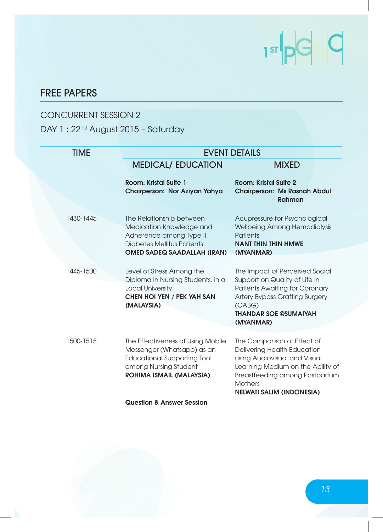# $\begin{array}{c|c|c|c} \multicolumn{3}{c|}{\text{Tr}} & \multicolumn{3}{c|}{\text{Tr}} & \multicolumn{3}{c|}{\text{Tr}} \\ \multicolumn{3}{c|}{\text{Tr}} & \multicolumn{3}{c|}{\text{Tr}} & \multicolumn{3}{c|}{\text{Tr}} & \multicolumn{3}{c|}{\text{Tr}} \\ \multicolumn{3}{c|}{\text{Tr}} & \multicolumn{3}{c|}{\text{Tr}} & \multicolumn{3}{c|}{\text{Tr}} & \multicolumn{3}{c|}{\text{Tr}} \\ \multicolumn{3}{c|}{\text{Tr}} & \multicolumn{3}{c|}{\text{Tr}}$

## FREE PAPERS

#### CONCURRENT SESSION 2

#### DAY 1 : 22<sup>nd</sup> August 2015 - Saturday

| <b>TIME</b> | <b>EVENT DETAILS</b>                                                                                                                                       |                                                                                                                                                                                                                         |  |
|-------------|------------------------------------------------------------------------------------------------------------------------------------------------------------|-------------------------------------------------------------------------------------------------------------------------------------------------------------------------------------------------------------------------|--|
|             | <b>MEDICAL/ EDUCATION</b>                                                                                                                                  | <b>MIXED</b>                                                                                                                                                                                                            |  |
|             | <b>Room: Kristal Suite 1</b><br>Chairperson: Nor Aziyan Yahya                                                                                              | Room: Kristal Suite 2<br><b>Chairperson: Ms Rasnah Abdul</b><br>Rahman                                                                                                                                                  |  |
| 1430-1445   | The Relationship between<br>Medication Knowledge and<br>Adherence among Type II<br><b>Diabetes Mellitus Patients</b><br><b>OMED SADEQ SAADALLAH (IRAN)</b> | Acupressure for Psychological<br>Wellbeing Among Hemodialysis<br><b>Patients</b><br><b>NANT THIN THIN HMWE</b><br>(MYANMAR)                                                                                             |  |
| 1445-1500   | Level of Stress Among the<br>Diploma in Nursing Students, in a<br><b>Local University</b><br><b>CHEN HOI YEN / PEK YAH SAN</b><br>(MALAYSIA)               | The Impact of Perceived Social<br>Support on Quality of Life in<br>Patients Awaiting for Coronary<br>Artery Bypass Grafting Surgery<br>(CABG)<br><b>THANDAR SOE @SUMAIYAH</b><br>(MYANMAR)                              |  |
| 1500-1515   | The Effectiveness of Using Mobile<br>Messenger (Whatsapp) as an<br><b>Educational Supporting Tool</b><br>among Nursing Student<br>ROHIMA ISMAIL (MALAYSIA) | The Comparison of Effect of<br>Delivering Health Education<br>using Audiovisual and Visual<br>Learning Medium on the Ability of<br>Breastfeeding among Postpartum<br><b>Mothers</b><br><b>NELWATI SALIM (INDONESIA)</b> |  |
|             | <b>Question &amp; Answer Session</b>                                                                                                                       |                                                                                                                                                                                                                         |  |